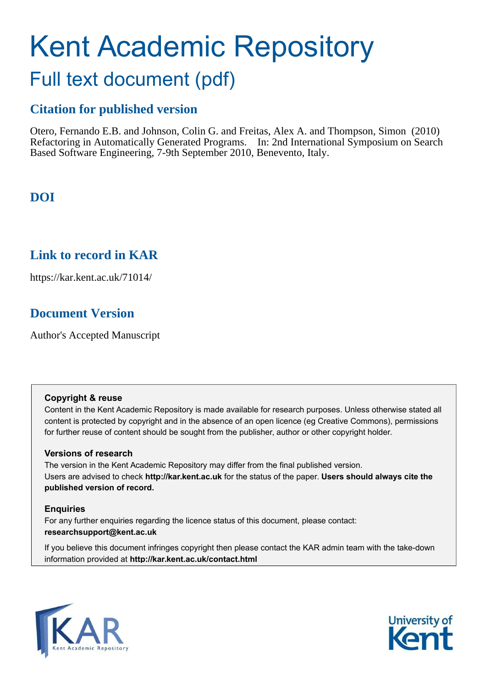# Kent Academic Repository Full text document (pdf)

# **Citation for published version**

Otero, Fernando E.B. and Johnson, Colin G. and Freitas, Alex A. and Thompson, Simon (2010) Refactoring in Automatically Generated Programs. In: 2nd International Symposium on Search Based Software Engineering, 7-9th September 2010, Benevento, Italy.

# **DOI**

## **Link to record in KAR**

https://kar.kent.ac.uk/71014/

# **Document Version**

Author's Accepted Manuscript

## **Copyright & reuse**

Content in the Kent Academic Repository is made available for research purposes. Unless otherwise stated all content is protected by copyright and in the absence of an open licence (eg Creative Commons), permissions for further reuse of content should be sought from the publisher, author or other copyright holder.

## **Versions of research**

The version in the Kent Academic Repository may differ from the final published version. Users are advised to check **http://kar.kent.ac.uk** for the status of the paper. **Users should always cite the published version of record.**

## **Enquiries**

For any further enquiries regarding the licence status of this document, please contact: **researchsupport@kent.ac.uk**

If you believe this document infringes copyright then please contact the KAR admin team with the take-down information provided at **http://kar.kent.ac.uk/contact.html**



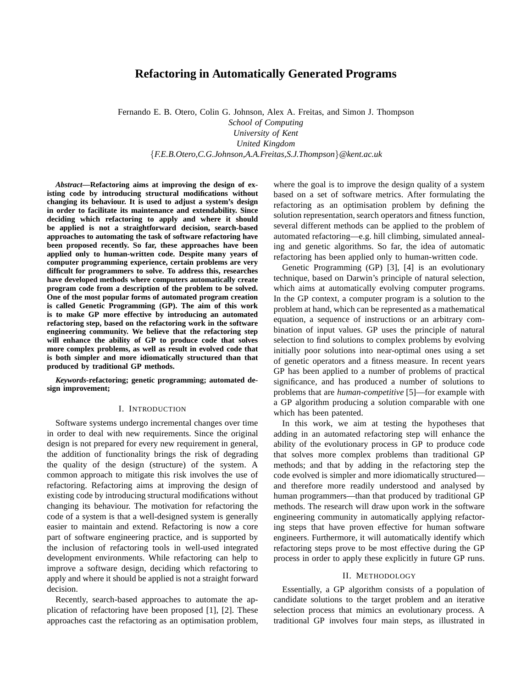### **Refactoring in Automatically Generated Programs**

Fernando E. B. Otero, Colin G. Johnson, Alex A. Freitas, and Simon J. Thompson *School of Computing University of Kent United Kingdom* {*F.E.B.Otero,C.G.Johnson,A.A.Freitas,S.J.Thompson*}*@kent.ac.uk*

*Abstract***—Refactoring aims at improving the design of existing code by introducing structural modifications without changing its behaviour. It is used to adjust a system's design in order to facilitate its maintenance and extendability. Since deciding which refactoring to apply and where it should be applied is not a straightforward decision, search-based approaches to automating the task of software refactoring have been proposed recently. So far, these approaches have been applied only to human-written code. Despite many years of computer programming experience, certain problems are very difficult for programmers to solve. To address this, researches have developed methods where computers automatically create program code from a description of the problem to be solved. One of the most popular forms of automated program creation is called Genetic Programming (GP). The aim of this work is to make GP more effective by introducing an automated refactoring step, based on the refactoring work in the software engineering community. We believe that the refactoring step will enhance the ability of GP to produce code that solves more complex problems, as well as result in evolved code that is both simpler and more idiomatically structured than that produced by traditional GP methods.**

*Keywords***-refactoring; genetic programming; automated design improvement;**

#### I. INTRODUCTION

Software systems undergo incremental changes over time in order to deal with new requirements. Since the original design is not prepared for every new requirement in general, the addition of functionality brings the risk of degrading the quality of the design (structure) of the system. A common approach to mitigate this risk involves the use of refactoring. Refactoring aims at improving the design of existing code by introducing structural modifications without changing its behaviour. The motivation for refactoring the code of a system is that a well-designed system is generally easier to maintain and extend. Refactoring is now a core part of software engineering practice, and is supported by the inclusion of refactoring tools in well-used integrated development environments. While refactoring can help to improve a software design, deciding which refactoring to apply and where it should be applied is not a straight forward decision.

Recently, search-based approaches to automate the application of refactoring have been proposed [1], [2]. These approaches cast the refactoring as an optimisation problem, where the goal is to improve the design quality of a system based on a set of software metrics. After formulating the refactoring as an optimisation problem by defining the solution representation, search operators and fitness function, several different methods can be applied to the problem of automated refactoring—e.g. hill climbing, simulated annealing and genetic algorithms. So far, the idea of automatic refactoring has been applied only to human-written code.

Genetic Programming (GP) [3], [4] is an evolutionary technique, based on Darwin's principle of natural selection, which aims at automatically evolving computer programs. In the GP context, a computer program is a solution to the problem at hand, which can be represented as a mathematical equation, a sequence of instructions or an arbitrary combination of input values. GP uses the principle of natural selection to find solutions to complex problems by evolving initially poor solutions into near-optimal ones using a set of genetic operators and a fitness measure. In recent years GP has been applied to a number of problems of practical significance, and has produced a number of solutions to problems that are *human-competitive* [5]—for example with a GP algorithm producing a solution comparable with one which has been patented.

In this work, we aim at testing the hypotheses that adding in an automated refactoring step will enhance the ability of the evolutionary process in GP to produce code that solves more complex problems than traditional GP methods; and that by adding in the refactoring step the code evolved is simpler and more idiomatically structured and therefore more readily understood and analysed by human programmers—than that produced by traditional GP methods. The research will draw upon work in the software engineering community in automatically applying refactoring steps that have proven effective for human software engineers. Furthermore, it will automatically identify which refactoring steps prove to be most effective during the GP process in order to apply these explicitly in future GP runs.

#### II. METHODOLOGY

Essentially, a GP algorithm consists of a population of candidate solutions to the target problem and an iterative selection process that mimics an evolutionary process. A traditional GP involves four main steps, as illustrated in